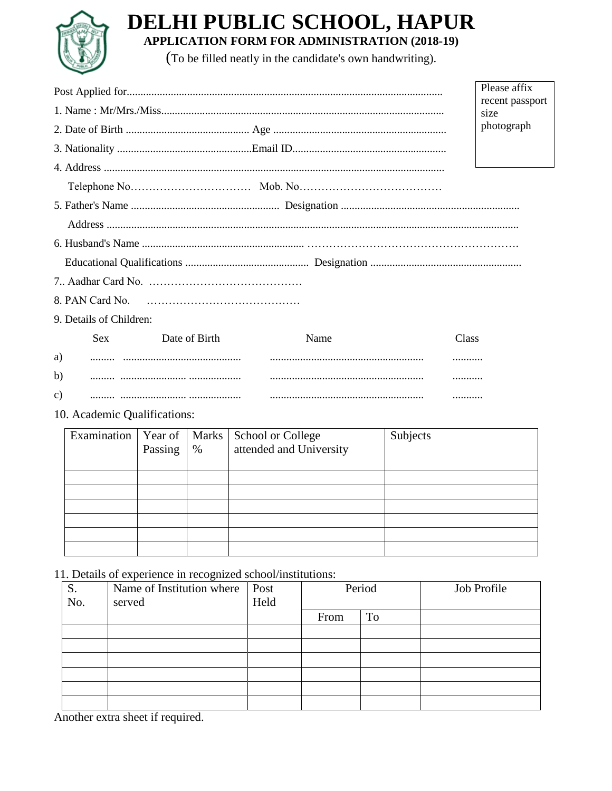

## DELHI PUBLIC SCHOOL, HAPUR **APPLICATION FORM FOR ADMINISTRATION (2018-19)**

(To be filled neatly in the candidate's own handwriting).

|                         | Please affix                |      |            |  |  |
|-------------------------|-----------------------------|------|------------|--|--|
|                         | recent passport             |      |            |  |  |
|                         | size                        |      |            |  |  |
|                         |                             |      | photograph |  |  |
|                         |                             |      |            |  |  |
|                         |                             |      |            |  |  |
|                         |                             |      |            |  |  |
|                         |                             |      |            |  |  |
|                         |                             |      |            |  |  |
|                         |                             |      |            |  |  |
|                         |                             |      |            |  |  |
|                         |                             |      |            |  |  |
| 8. PAN Card No.         |                             |      |            |  |  |
| 9. Details of Children: |                             |      |            |  |  |
| <b>Sex</b>              | Date of Birth               | Name | Class      |  |  |
| a)                      |                             |      |            |  |  |
| b)                      |                             |      |            |  |  |
| C)                      |                             |      |            |  |  |
|                         | 10 Agodomia Quelificational |      |            |  |  |

10. Academic Qualifications:

| Examination | Year of   Marks  <br>Passing | $\%$ | School or College<br>attended and University | Subjects |
|-------------|------------------------------|------|----------------------------------------------|----------|
|             |                              |      |                                              |          |
|             |                              |      |                                              |          |
|             |                              |      |                                              |          |
|             |                              |      |                                              |          |
|             |                              |      |                                              |          |
|             |                              |      |                                              |          |

11. Details of experience in recognized school/institutions:

| S.  | $\tilde{\phantom{a}}$<br>Name of Institution where | Post | Period |    | Job Profile |
|-----|----------------------------------------------------|------|--------|----|-------------|
| No. | served                                             | Held |        |    |             |
|     |                                                    |      | From   | To |             |
|     |                                                    |      |        |    |             |
|     |                                                    |      |        |    |             |
|     |                                                    |      |        |    |             |
|     |                                                    |      |        |    |             |
|     |                                                    |      |        |    |             |
|     |                                                    |      |        |    |             |

Another extra sheet if required.